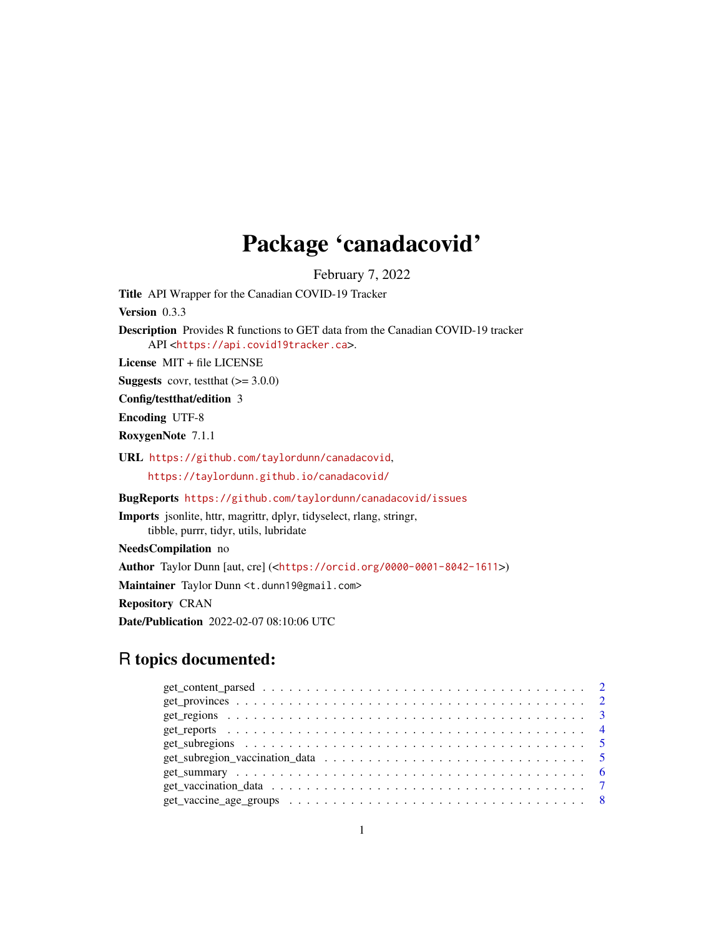## Package 'canadacovid'

February 7, 2022

Title API Wrapper for the Canadian COVID-19 Tracker

Version 0.3.3

Description Provides R functions to GET data from the Canadian COVID-19 tracker API <<https://api.covid19tracker.ca>>.

License MIT + file LICENSE

**Suggests** covr, test that  $(>= 3.0.0)$ 

Config/testthat/edition 3

Encoding UTF-8

RoxygenNote 7.1.1

URL <https://github.com/taylordunn/canadacovid>, <https://taylordunn.github.io/canadacovid/>

BugReports <https://github.com/taylordunn/canadacovid/issues>

Imports jsonlite, httr, magrittr, dplyr, tidyselect, rlang, stringr, tibble, purrr, tidyr, utils, lubridate

NeedsCompilation no

Author Taylor Dunn [aut, cre] (<<https://orcid.org/0000-0001-8042-1611>>)

Maintainer Taylor Dunn <t.dunn19@gmail.com>

Repository CRAN

Date/Publication 2022-02-07 08:10:06 UTC

### R topics documented: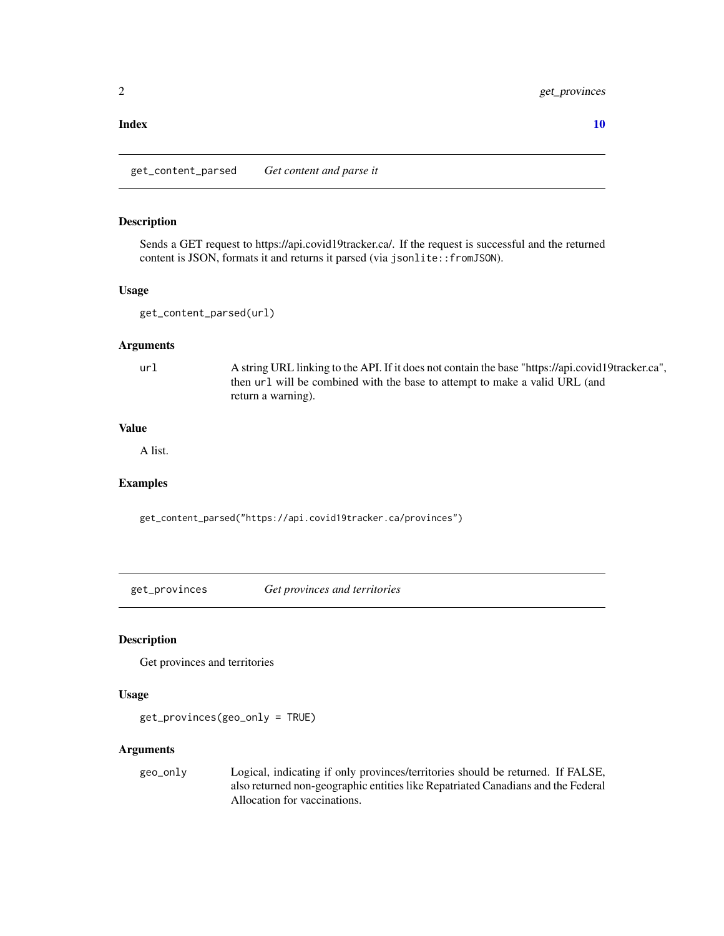#### <span id="page-1-0"></span>2 get\_provinces

#### $\blacksquare$

get\_content\_parsed *Get content and parse it*

#### Description

Sends a GET request to https://api.covid19tracker.ca/. If the request is successful and the returned content is JSON, formats it and returns it parsed (via jsonlite::fromJSON).

#### Usage

get\_content\_parsed(url)

#### Arguments

url A string URL linking to the API. If it does not contain the base "https://api.covid19tracker.ca", then url will be combined with the base to attempt to make a valid URL (and return a warning).

#### Value

A list.

#### Examples

get\_content\_parsed("https://api.covid19tracker.ca/provinces")

get\_provinces *Get provinces and territories*

#### Description

Get provinces and territories

#### Usage

get\_provinces(geo\_only = TRUE)

#### Arguments

geo\_only Logical, indicating if only provinces/territories should be returned. If FALSE, also returned non-geographic entities like Repatriated Canadians and the Federal Allocation for vaccinations.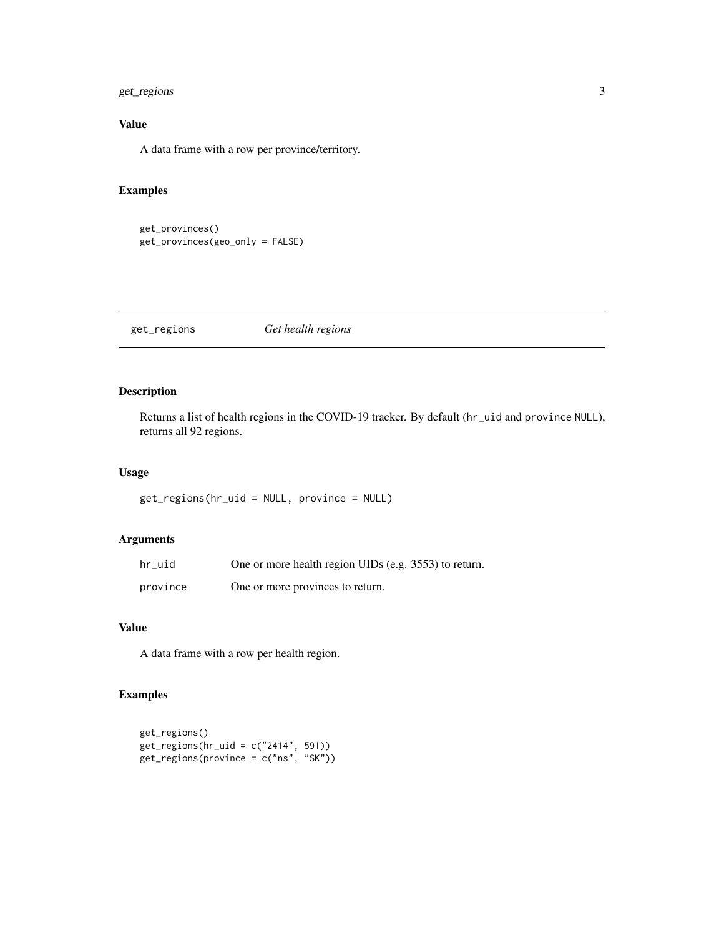#### <span id="page-2-0"></span>get\_regions 3

#### Value

A data frame with a row per province/territory.

#### Examples

```
get_provinces()
get_provinces(geo_only = FALSE)
```
#### get\_regions *Get health regions*

#### Description

Returns a list of health regions in the COVID-19 tracker. By default (hr\_uid and province NULL), returns all 92 regions.

#### Usage

get\_regions(hr\_uid = NULL, province = NULL)

#### Arguments

| hr uid   | One or more health region UIDs (e.g. 3553) to return. |
|----------|-------------------------------------------------------|
| province | One or more provinces to return.                      |

#### Value

A data frame with a row per health region.

#### Examples

```
get_regions()
get\_regions(hr\_uid = c("2414", 591))get_regions(province = c("ns", "SK"))
```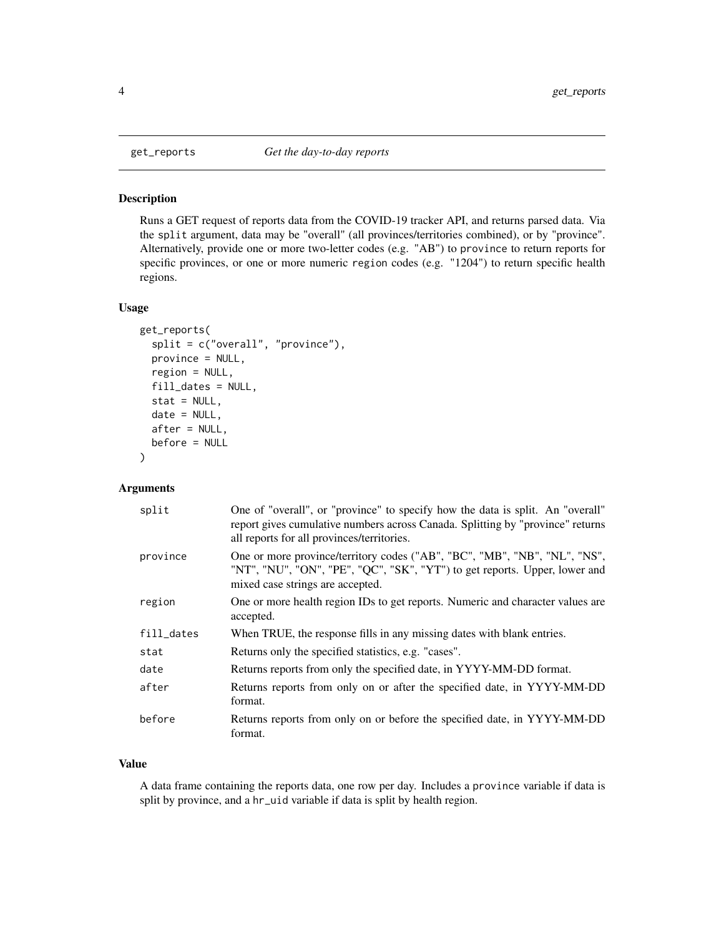<span id="page-3-0"></span>

#### Description

Runs a GET request of reports data from the COVID-19 tracker API, and returns parsed data. Via the split argument, data may be "overall" (all provinces/territories combined), or by "province". Alternatively, provide one or more two-letter codes (e.g. "AB") to province to return reports for specific provinces, or one or more numeric region codes (e.g. "1204") to return specific health regions.

#### Usage

```
get_reports(
  split = c("overall", "province"),
  province = NULL,
  region = NULL,
  fill_dates = NULL,
  stat = NULL,date = NULL,
  after = NULL,
  before = NULL
)
```
#### Arguments

| split      | One of "overall", or "province" to specify how the data is split. An "overall"<br>report gives cumulative numbers across Canada. Splitting by "province" returns<br>all reports for all provinces/territories. |
|------------|----------------------------------------------------------------------------------------------------------------------------------------------------------------------------------------------------------------|
| province   | One or more province/territory codes ("AB", "BC", "MB", "NB", "NL", "NS",<br>"NT", "NU", "ON", "PE", "QC", "SK", "YT") to get reports. Upper, lower and<br>mixed case strings are accepted.                    |
| region     | One or more health region IDs to get reports. Numeric and character values are<br>accepted.                                                                                                                    |
| fill_dates | When TRUE, the response fills in any missing dates with blank entries.                                                                                                                                         |
| stat       | Returns only the specified statistics, e.g. "cases".                                                                                                                                                           |
| date       | Returns reports from only the specified date, in YYYY-MM-DD format.                                                                                                                                            |
| after      | Returns reports from only on or after the specified date, in YYYY-MM-DD<br>format.                                                                                                                             |
| before     | Returns reports from only on or before the specified date, in YYYY-MM-DD<br>format.                                                                                                                            |

#### Value

A data frame containing the reports data, one row per day. Includes a province variable if data is split by province, and a hr\_uid variable if data is split by health region.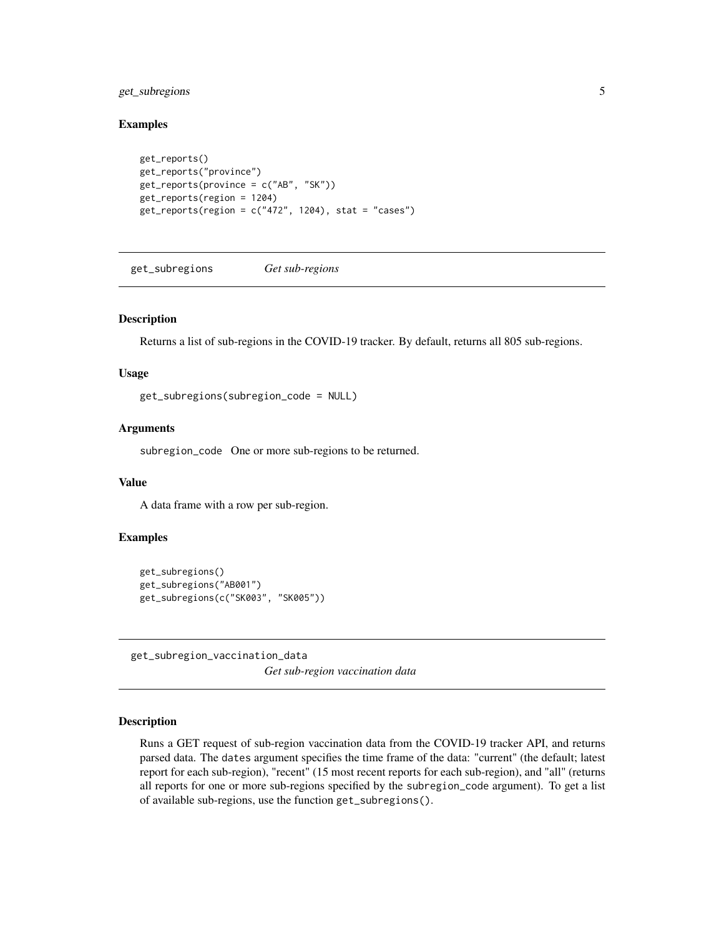#### <span id="page-4-0"></span>get\_subregions 5

#### Examples

```
get_reports()
get_reports("province")
get_reports(province = c("AB", "SK"))
get_reports(region = 1204)
get\_reports(region = c("472", 1204), stat = "cases")
```
get\_subregions *Get sub-regions*

#### Description

Returns a list of sub-regions in the COVID-19 tracker. By default, returns all 805 sub-regions.

#### Usage

get\_subregions(subregion\_code = NULL)

#### Arguments

subregion\_code One or more sub-regions to be returned.

#### Value

A data frame with a row per sub-region.

#### Examples

```
get_subregions()
get_subregions("AB001")
get_subregions(c("SK003", "SK005"))
```
get\_subregion\_vaccination\_data

*Get sub-region vaccination data*

#### Description

Runs a GET request of sub-region vaccination data from the COVID-19 tracker API, and returns parsed data. The dates argument specifies the time frame of the data: "current" (the default; latest report for each sub-region), "recent" (15 most recent reports for each sub-region), and "all" (returns all reports for one or more sub-regions specified by the subregion\_code argument). To get a list of available sub-regions, use the function get\_subregions().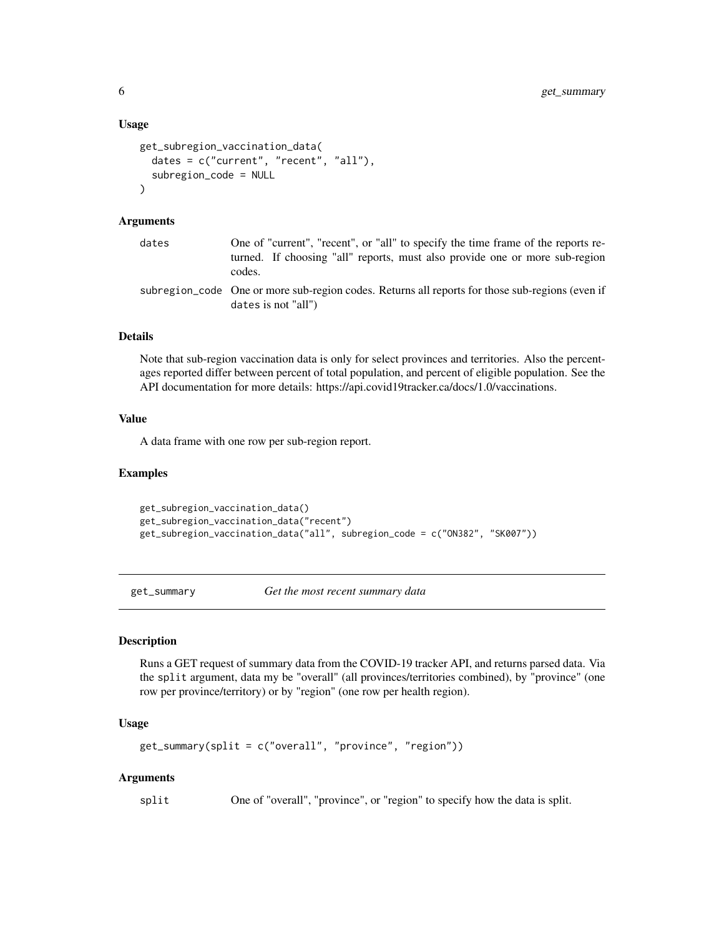#### <span id="page-5-0"></span>Usage

```
get_subregion_vaccination_data(
  dates = c("current", "recent", "all"),
  subregion_code = NULL
\lambda
```
#### Arguments

| dates | One of "current", "recent", or "all" to specify the time frame of the reports re-<br>turned. If choosing "all" reports, must also provide one or more sub-region<br>codes. |
|-------|----------------------------------------------------------------------------------------------------------------------------------------------------------------------------|
|       | subregion_code One or more sub-region codes. Returns all reports for those sub-regions (even if<br>dates is not "all")                                                     |

#### Details

Note that sub-region vaccination data is only for select provinces and territories. Also the percentages reported differ between percent of total population, and percent of eligible population. See the API documentation for more details: https://api.covid19tracker.ca/docs/1.0/vaccinations.

#### Value

A data frame with one row per sub-region report.

#### Examples

```
get_subregion_vaccination_data()
get_subregion_vaccination_data("recent")
get_subregion_vaccination_data("all", subregion_code = c("ON382", "SK007"))
```
get\_summary *Get the most recent summary data*

#### Description

Runs a GET request of summary data from the COVID-19 tracker API, and returns parsed data. Via the split argument, data my be "overall" (all provinces/territories combined), by "province" (one row per province/territory) or by "region" (one row per health region).

#### Usage

```
get_summary(split = c("overall", "province", "region"))
```
#### Arguments

split One of "overall", "province", or "region" to specify how the data is split.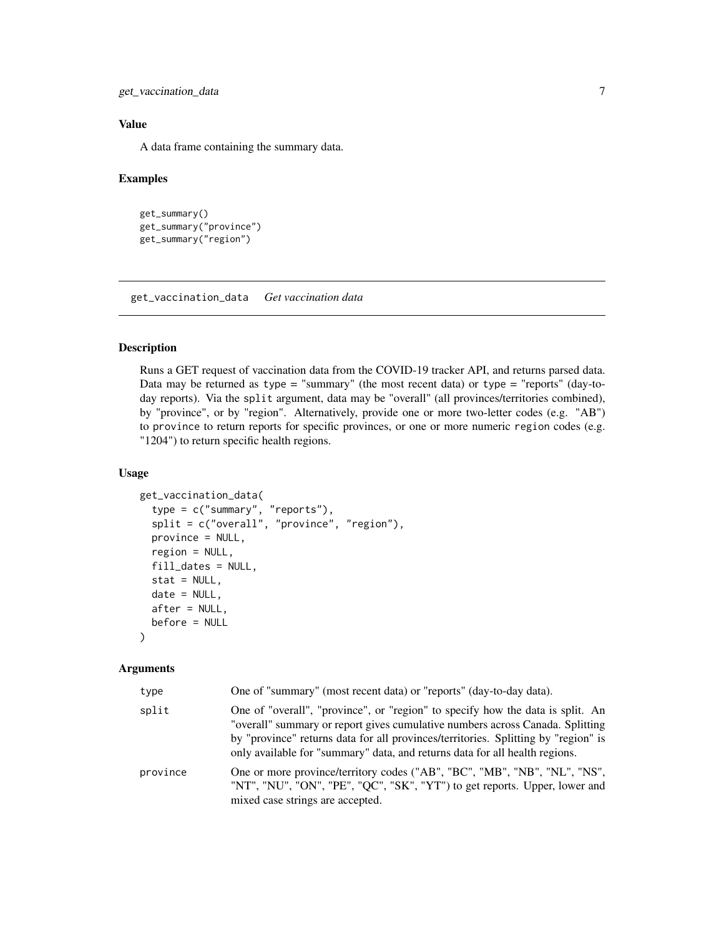<span id="page-6-0"></span>get\_vaccination\_data 7

#### Value

A data frame containing the summary data.

#### Examples

```
get_summary()
get_summary("province")
get_summary("region")
```
get\_vaccination\_data *Get vaccination data*

#### Description

Runs a GET request of vaccination data from the COVID-19 tracker API, and returns parsed data. Data may be returned as  $type = "summary"$  (the most recent data) or  $type = "reports"$  (day-today reports). Via the split argument, data may be "overall" (all provinces/territories combined), by "province", or by "region". Alternatively, provide one or more two-letter codes (e.g. "AB") to province to return reports for specific provinces, or one or more numeric region codes (e.g. "1204") to return specific health regions.

#### Usage

```
get_vaccination_data(
  type = c("summary", "reports"),
  split = c("overall", "province", "region"),
  province = NULL,
  region = NULL,
  fill_dates = NULL,
  stat = NULL,
  date = NULL,
  after = NULL,
  before = NULL
)
```
#### Arguments

| type     | One of "summary" (most recent data) or "reports" (day-to-day data).                                                                                                                                                                                                                                                                  |
|----------|--------------------------------------------------------------------------------------------------------------------------------------------------------------------------------------------------------------------------------------------------------------------------------------------------------------------------------------|
| split    | One of "overall", "province", or "region" to specify how the data is split. An<br>"overall" summary or report gives cumulative numbers across Canada. Splitting<br>by "province" returns data for all provinces/territories. Splitting by "region" is<br>only available for "summary" data, and returns data for all health regions. |
| province | One or more province/territory codes ("AB", "BC", "MB", "NB", "NL", "NS",<br>"NT", "NU", "ON", "PE", "QC", "SK", "YT") to get reports. Upper, lower and<br>mixed case strings are accepted.                                                                                                                                          |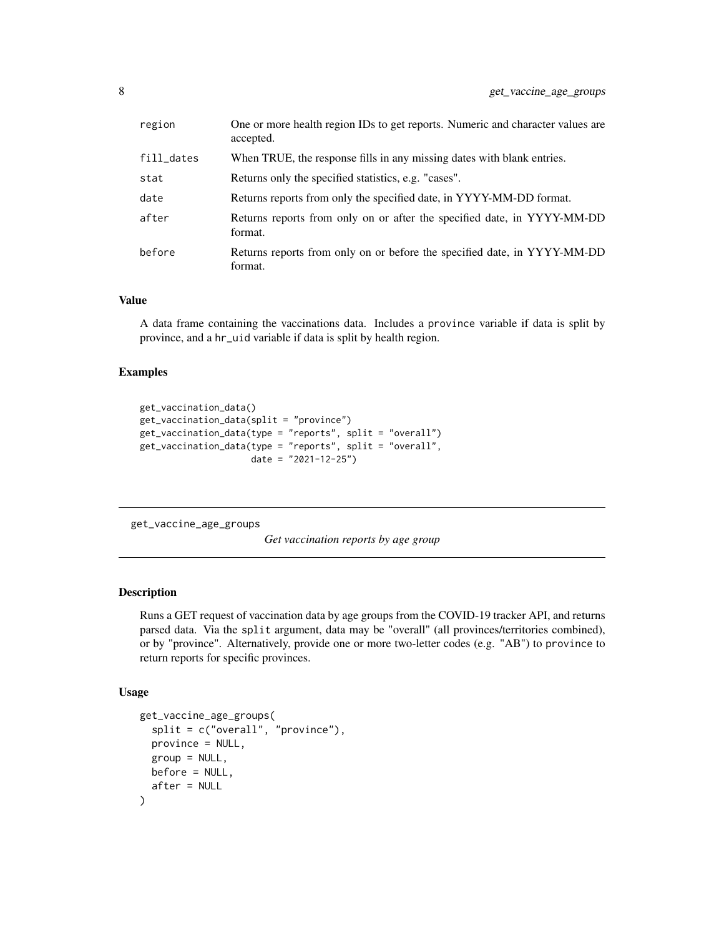<span id="page-7-0"></span>

| region     | One or more health region IDs to get reports. Numeric and character values are<br>accepted. |
|------------|---------------------------------------------------------------------------------------------|
| fill_dates | When TRUE, the response fills in any missing dates with blank entries.                      |
| stat       | Returns only the specified statistics, e.g. "cases".                                        |
| date       | Returns reports from only the specified date, in YYYY-MM-DD format.                         |
| after      | Returns reports from only on or after the specified date, in YYYY-MM-DD<br>format.          |
| before     | Returns reports from only on or before the specified date, in YYYY-MM-DD<br>format.         |

#### Value

A data frame containing the vaccinations data. Includes a province variable if data is split by province, and a hr\_uid variable if data is split by health region.

#### Examples

```
get_vaccination_data()
get_vaccination_data(split = "province")
get_vaccination_data(type = "reports", split = "overall")
get_vaccination_data(type = "reports", split = "overall",
                     date = "2021-12-25")
```
get\_vaccine\_age\_groups

*Get vaccination reports by age group*

#### Description

Runs a GET request of vaccination data by age groups from the COVID-19 tracker API, and returns parsed data. Via the split argument, data may be "overall" (all provinces/territories combined), or by "province". Alternatively, provide one or more two-letter codes (e.g. "AB") to province to return reports for specific provinces.

#### Usage

```
get_vaccine_age_groups(
  split = c("overall", "provide",province = NULL,
 group = NULL,before = NULL,
  after = NULL
)
```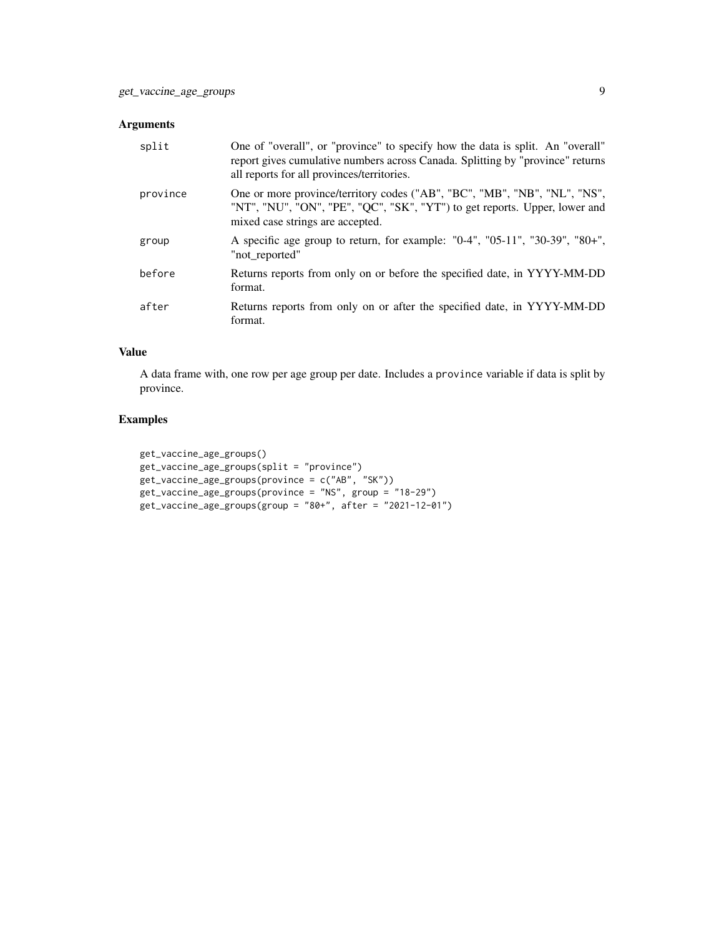#### Arguments

| split    | One of "overall", or "province" to specify how the data is split. An "overall"<br>report gives cumulative numbers across Canada. Splitting by "province" returns<br>all reports for all provinces/territories. |
|----------|----------------------------------------------------------------------------------------------------------------------------------------------------------------------------------------------------------------|
| province | One or more province/territory codes ("AB", "BC", "MB", "NB", "NL", "NS",<br>"NT", "NU", "ON", "PE", "QC", "SK", "YT") to get reports. Upper, lower and<br>mixed case strings are accepted.                    |
| group    | A specific age group to return, for example: "0-4", "05-11", "30-39", "80+",<br>"not reported"                                                                                                                 |
| before   | Returns reports from only on or before the specified date, in YYYY-MM-DD<br>format.                                                                                                                            |
| after    | Returns reports from only on or after the specified date, in YYYY-MM-DD<br>format.                                                                                                                             |

#### Value

A data frame with, one row per age group per date. Includes a province variable if data is split by province.

#### Examples

```
get_vaccine_age_groups()
get_vaccine_age_groups(split = "province")
get_vaccine_age_groups(province = c("AB", "SK"))
get_vaccine_age_groups(province = "NS", group = "18-29")
get_vaccine_age_groups(group = "80+", after = "2021-12-01")
```